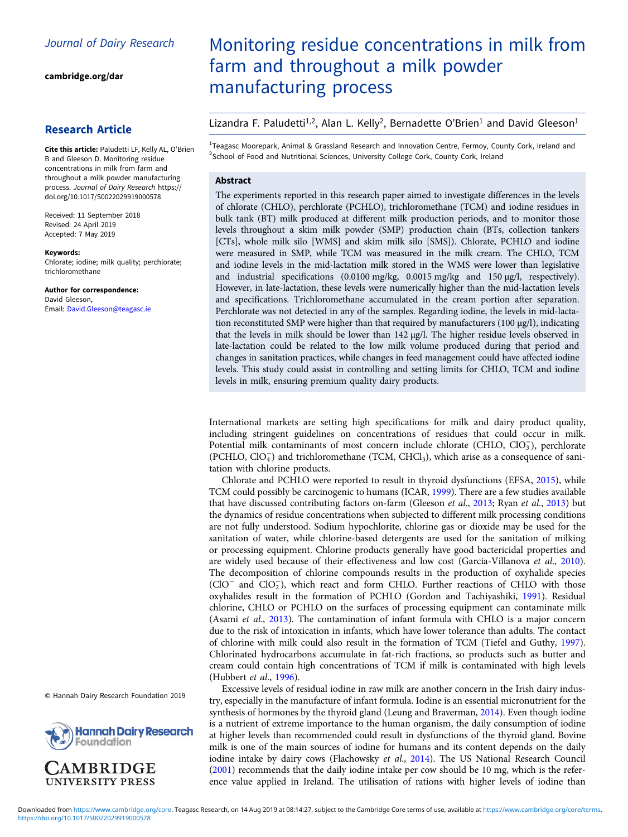[cambridge.org/dar](https://www.cambridge.org/dar)

# Research Article

Cite this article: Paludetti LF, Kelly AL, O'Brien B and Gleeson D. Monitoring residue concentrations in milk from farm and throughout a milk powder manufacturing process. Journal of Dairy Research [https://](https://doi.org/10.1017/S0022029919000578) [doi.org/10.1017/S0022029919000578](https://doi.org/10.1017/S0022029919000578)

Received: 11 September 2018 Revised: 24 April 2019 Accepted: 7 May 2019

Keywords:

Chlorate; iodine; milk quality; perchlorate; trichloromethane

Author for correspondence: David Gleeson, Email: [David.Gleeson@teagasc.ie](mailto:David.Gleeson@teagasc.ie)

© Hannah Dairy Research Foundation 2019



# Monitoring residue concentrations in milk from farm and throughout a milk powder manufacturing process

## Lizandra F. Paludetti<sup>1,2</sup>, Alan L. Kelly<sup>2</sup>, Bernadette O'Brien<sup>1</sup> and David Gleeson<sup>1</sup>

<sup>1</sup>Teagasc Moorepark, Animal & Grassland Research and Innovation Centre, Fermoy, County Cork, Ireland and <sup>2</sup>School of Food and Nutritional Sciences, University College Cork, County Cork, Ireland

#### Abstract

The experiments reported in this research paper aimed to investigate differences in the levels of chlorate (CHLO), perchlorate (PCHLO), trichloromethane (TCM) and iodine residues in bulk tank (BT) milk produced at different milk production periods, and to monitor those levels throughout a skim milk powder (SMP) production chain (BTs, collection tankers [CTs], whole milk silo [WMS] and skim milk silo [SMS]). Chlorate, PCHLO and iodine were measured in SMP, while TCM was measured in the milk cream. The CHLO, TCM and iodine levels in the mid-lactation milk stored in the WMS were lower than legislative and industrial specifications (0.0100 mg/kg, 0.0015 mg/kg and 150 µg/l, respectively). However, in late-lactation, these levels were numerically higher than the mid-lactation levels and specifications. Trichloromethane accumulated in the cream portion after separation. Perchlorate was not detected in any of the samples. Regarding iodine, the levels in mid-lactation reconstituted SMP were higher than that required by manufacturers (100  $\mu$ g/l), indicating that the levels in milk should be lower than 142 µg/l. The higher residue levels observed in late-lactation could be related to the low milk volume produced during that period and changes in sanitation practices, while changes in feed management could have affected iodine levels. This study could assist in controlling and setting limits for CHLO, TCM and iodine levels in milk, ensuring premium quality dairy products.

International markets are setting high specifications for milk and dairy product quality, including stringent guidelines on concentrations of residues that could occur in milk. Potential milk contaminants of most concern include chlorate (CHLO,  $ClO<sub>3</sub>$ ), perchlorate (PCHLO, ClO<sub>4</sub>) and trichloromethane (TCM, CHCl<sub>3</sub>), which arise as a consequence of sanitation with chlorine products.

Chlorate and PCHLO were reported to result in thyroid dysfunctions (EFSA, [2015\)](#page-5-0), while TCM could possibly be carcinogenic to humans (ICAR, [1999\)](#page-5-0). There are a few studies available that have discussed contributing factors on-farm (Gleeson et al., [2013](#page-5-0); Ryan et al., [2013\)](#page-5-0) but the dynamics of residue concentrations when subjected to different milk processing conditions are not fully understood. Sodium hypochlorite, chlorine gas or dioxide may be used for the sanitation of water, while chlorine-based detergents are used for the sanitation of milking or processing equipment. Chlorine products generally have good bactericidal properties and are widely used because of their effectiveness and low cost (Garcia-Villanova et al., [2010](#page-5-0)). The decomposition of chlorine compounds results in the production of oxyhalide species (ClO<sup>−</sup> and ClO2 <sup>−</sup>), which react and form CHLO. Further reactions of CHLO with those oxyhalides result in the formation of PCHLO (Gordon and Tachiyashiki, [1991\)](#page-5-0). Residual chlorine, CHLO or PCHLO on the surfaces of processing equipment can contaminate milk (Asami et al., [2013](#page-5-0)). The contamination of infant formula with CHLO is a major concern due to the risk of intoxication in infants, which have lower tolerance than adults. The contact of chlorine with milk could also result in the formation of TCM (Tiefel and Guthy, [1997](#page-5-0)). Chlorinated hydrocarbons accumulate in fat-rich fractions, so products such as butter and cream could contain high concentrations of TCM if milk is contaminated with high levels (Hubbert et al., [1996](#page-5-0)).

Excessive levels of residual iodine in raw milk are another concern in the Irish dairy industry, especially in the manufacture of infant formula. Iodine is an essential micronutrient for the synthesis of hormones by the thyroid gland (Leung and Braverman, [2014\)](#page-5-0). Even though iodine is a nutrient of extreme importance to the human organism, the daily consumption of iodine at higher levels than recommended could result in dysfunctions of the thyroid gland. Bovine milk is one of the main sources of iodine for humans and its content depends on the daily iodine intake by dairy cows (Flachowsky et al., [2014\)](#page-5-0). The US National Research Council ([2001\)](#page-5-0) recommends that the daily iodine intake per cow should be 10 mg, which is the reference value applied in Ireland. The utilisation of rations with higher levels of iodine than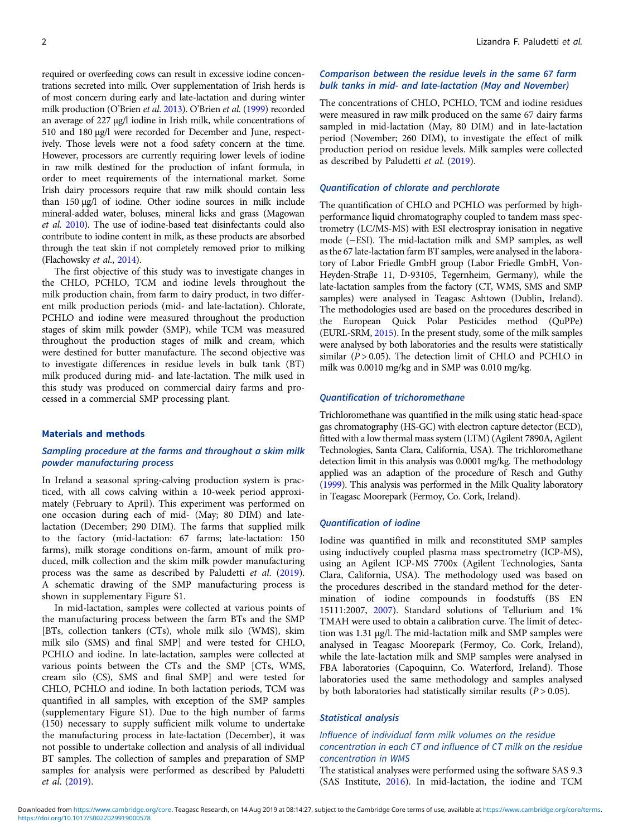required or overfeeding cows can result in excessive iodine concentrations secreted into milk. Over supplementation of Irish herds is of most concern during early and late-lactation and during winter milk production (O'Brien et al. [2013\)](#page-5-0). O'Brien et al. ([1999](#page-5-0)) recorded an average of 227 µg/l iodine in Irish milk, while concentrations of 510 and 180 µg/l were recorded for December and June, respectively. Those levels were not a food safety concern at the time. However, processors are currently requiring lower levels of iodine in raw milk destined for the production of infant formula, in order to meet requirements of the international market. Some Irish dairy processors require that raw milk should contain less than 150 µg/l of iodine. Other iodine sources in milk include mineral-added water, boluses, mineral licks and grass (Magowan et al. [2010\)](#page-5-0). The use of iodine-based teat disinfectants could also contribute to iodine content in milk, as these products are absorbed through the teat skin if not completely removed prior to milking (Flachowsky et al., [2014](#page-5-0)).

The first objective of this study was to investigate changes in the CHLO, PCHLO, TCM and iodine levels throughout the milk production chain, from farm to dairy product, in two different milk production periods (mid- and late-lactation). Chlorate, PCHLO and iodine were measured throughout the production stages of skim milk powder (SMP), while TCM was measured throughout the production stages of milk and cream, which were destined for butter manufacture. The second objective was to investigate differences in residue levels in bulk tank (BT) milk produced during mid- and late-lactation. The milk used in this study was produced on commercial dairy farms and processed in a commercial SMP processing plant.

#### Materials and methods

## Sampling procedure at the farms and throughout a skim milk powder manufacturing process

In Ireland a seasonal spring-calving production system is practiced, with all cows calving within a 10-week period approximately (February to April). This experiment was performed on one occasion during each of mid- (May; 80 DIM) and latelactation (December; 290 DIM). The farms that supplied milk to the factory (mid-lactation: 67 farms; late-lactation: 150 farms), milk storage conditions on-farm, amount of milk produced, milk collection and the skim milk powder manufacturing process was the same as described by Paludetti et al. ([2019\)](#page-5-0). A schematic drawing of the SMP manufacturing process is shown in supplementary Figure S1.

In mid-lactation, samples were collected at various points of the manufacturing process between the farm BTs and the SMP [BTs, collection tankers (CTs), whole milk silo (WMS), skim milk silo (SMS) and final SMP] and were tested for CHLO, PCHLO and iodine. In late-lactation, samples were collected at various points between the CTs and the SMP [CTs, WMS, cream silo (CS), SMS and final SMP] and were tested for CHLO, PCHLO and iodine. In both lactation periods, TCM was quantified in all samples, with exception of the SMP samples (supplementary Figure S1). Due to the high number of farms (150) necessary to supply sufficient milk volume to undertake the manufacturing process in late-lactation (December), it was not possible to undertake collection and analysis of all individual BT samples. The collection of samples and preparation of SMP samples for analysis were performed as described by Paludetti et al. ([2019](#page-5-0)).

## Comparison between the residue levels in the same 67 farm bulk tanks in mid- and late-lactation (May and November)

The concentrations of CHLO, PCHLO, TCM and iodine residues were measured in raw milk produced on the same 67 dairy farms sampled in mid-lactation (May, 80 DIM) and in late-lactation period (November; 260 DIM), to investigate the effect of milk production period on residue levels. Milk samples were collected as described by Paludetti et al. ([2019](#page-5-0)).

## Quantification of chlorate and perchlorate

The quantification of CHLO and PCHLO was performed by highperformance liquid chromatography coupled to tandem mass spectrometry (LC/MS-MS) with ESI electrospray ionisation in negative mode (−ESI). The mid-lactation milk and SMP samples, as well as the 67 late-lactation farm BT samples, were analysed in the laboratory of Labor Friedle GmbH group (Labor Friedle GmbH, Von-Heyden-Straβe 11, D-93105, Tegernheim, Germany), while the late-lactation samples from the factory (CT, WMS, SMS and SMP samples) were analysed in Teagasc Ashtown (Dublin, Ireland). The methodologies used are based on the procedures described in the European Quick Polar Pesticides method (QuPPe) (EURL-SRM, [2015](#page-5-0)). In the present study, some of the milk samples were analysed by both laboratories and the results were statistically similar  $(P > 0.05)$ . The detection limit of CHLO and PCHLO in milk was 0.0010 mg/kg and in SMP was 0.010 mg/kg.

#### Quantification of trichoromethane

Trichloromethane was quantified in the milk using static head-space gas chromatography (HS-GC) with electron capture detector (ECD), fitted with a low thermal mass system (LTM) (Agilent 7890A, Agilent Technologies, Santa Clara, California, USA). The trichloromethane detection limit in this analysis was 0.0001 mg/kg. The methodology applied was an adaption of the procedure of Resch and Guthy [\(1999](#page-5-0)). This analysis was performed in the Milk Quality laboratory in Teagasc Moorepark (Fermoy, Co. Cork, Ireland).

#### Quantification of iodine

Iodine was quantified in milk and reconstituted SMP samples using inductively coupled plasma mass spectrometry (ICP-MS), using an Agilent ICP-MS 7700x (Agilent Technologies, Santa Clara, California, USA). The methodology used was based on the procedures described in the standard method for the determination of iodine compounds in foodstuffs (BS EN 15111:2007, [2007\)](#page-5-0). Standard solutions of Tellurium and 1% TMAH were used to obtain a calibration curve. The limit of detection was 1.31 µg/l. The mid-lactation milk and SMP samples were analysed in Teagasc Moorepark (Fermoy, Co. Cork, Ireland), while the late-lactation milk and SMP samples were analysed in FBA laboratories (Capoquinn, Co. Waterford, Ireland). Those laboratories used the same methodology and samples analysed by both laboratories had statistically similar results  $(P > 0.05)$ .

#### Statistical analysis

## Influence of individual farm milk volumes on the residue concentration in each CT and influence of CT milk on the residue concentration in WMS

The statistical analyses were performed using the software SAS 9.3 (SAS Institute, [2016](#page-5-0)). In mid-lactation, the iodine and TCM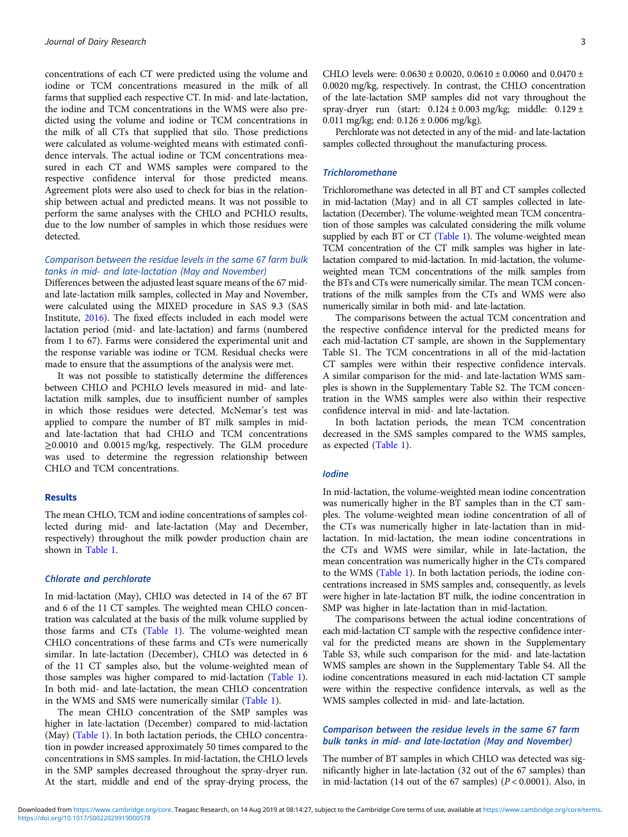concentrations of each CT were predicted using the volume and iodine or TCM concentrations measured in the milk of all farms that supplied each respective CT. In mid- and late-lactation, the iodine and TCM concentrations in the WMS were also predicted using the volume and iodine or TCM concentrations in the milk of all CTs that supplied that silo. Those predictions were calculated as volume-weighted means with estimated confidence intervals. The actual iodine or TCM concentrations measured in each CT and WMS samples were compared to the respective confidence interval for those predicted means. Agreement plots were also used to check for bias in the relationship between actual and predicted means. It was not possible to perform the same analyses with the CHLO and PCHLO results, due to the low number of samples in which those residues were detected.

## Comparison between the residue levels in the same 67 farm bulk tanks in mid- and late-lactation (May and November)

Differences between the adjusted least square means of the 67 midand late-lactation milk samples, collected in May and November, were calculated using the MIXED procedure in SAS 9.3 (SAS Institute, [2016](#page-5-0)). The fixed effects included in each model were lactation period (mid- and late-lactation) and farms (numbered from 1 to 67). Farms were considered the experimental unit and the response variable was iodine or TCM. Residual checks were made to ensure that the assumptions of the analysis were met.

It was not possible to statistically determine the differences between CHLO and PCHLO levels measured in mid- and latelactation milk samples, due to insufficient number of samples in which those residues were detected. McNemar's test was applied to compare the number of BT milk samples in midand late-lactation that had CHLO and TCM concentrations ≥0.0010 and 0.0015 mg/kg, respectively. The GLM procedure was used to determine the regression relationship between CHLO and TCM concentrations.

## Results

The mean CHLO, TCM and iodine concentrations of samples collected during mid- and late-lactation (May and December, respectively) throughout the milk powder production chain are shown in [Table 1.](#page-3-0)

#### Chlorate and perchlorate

In mid-lactation (May), CHLO was detected in 14 of the 67 BT and 6 of the 11 CT samples. The weighted mean CHLO concentration was calculated at the basis of the milk volume supplied by those farms and CTs ([Table 1\)](#page-3-0). The volume-weighted mean CHLO concentrations of these farms and CTs were numerically similar. In late-lactation (December), CHLO was detected in 6 of the 11 CT samples also, but the volume-weighted mean of those samples was higher compared to mid-lactation [\(Table 1\)](#page-3-0). In both mid- and late-lactation, the mean CHLO concentration in the WMS and SMS were numerically similar ([Table 1](#page-3-0)).

The mean CHLO concentration of the SMP samples was higher in late-lactation (December) compared to mid-lactation (May) ([Table 1](#page-3-0)). In both lactation periods, the CHLO concentration in powder increased approximately 50 times compared to the concentrations in SMS samples. In mid-lactation, the CHLO levels in the SMP samples decreased throughout the spray-dryer run. At the start, middle and end of the spray-drying process, the

CHLO levels were:  $0.0630 \pm 0.0020$ ,  $0.0610 \pm 0.0060$  and  $0.0470 \pm 0.0060$ 0.0020 mg/kg, respectively. In contrast, the CHLO concentration of the late-lactation SMP samples did not vary throughout the spray-dryer run (start:  $0.124 \pm 0.003$  mg/kg; middle:  $0.129 \pm$ 0.011 mg/kg; end:  $0.126 \pm 0.006$  mg/kg).

Perchlorate was not detected in any of the mid- and late-lactation samples collected throughout the manufacturing process.

### **Trichloromethane**

Trichloromethane was detected in all BT and CT samples collected in mid-lactation (May) and in all CT samples collected in latelactation (December). The volume-weighted mean TCM concentration of those samples was calculated considering the milk volume supplied by each BT or CT [\(Table 1\)](#page-3-0). The volume-weighted mean TCM concentration of the CT milk samples was higher in latelactation compared to mid-lactation. In mid-lactation, the volumeweighted mean TCM concentrations of the milk samples from the BTs and CTs were numerically similar. The mean TCM concentrations of the milk samples from the CTs and WMS were also numerically similar in both mid- and late-lactation.

The comparisons between the actual TCM concentration and the respective confidence interval for the predicted means for each mid-lactation CT sample, are shown in the Supplementary Table S1. The TCM concentrations in all of the mid-lactation CT samples were within their respective confidence intervals. A similar comparison for the mid- and late-lactation WMS samples is shown in the Supplementary Table S2. The TCM concentration in the WMS samples were also within their respective confidence interval in mid- and late-lactation.

In both lactation periods, the mean TCM concentration decreased in the SMS samples compared to the WMS samples, as expected [\(Table 1\)](#page-3-0).

#### Iodine

In mid-lactation, the volume-weighted mean iodine concentration was numerically higher in the BT samples than in the CT samples. The volume-weighted mean iodine concentration of all of the CTs was numerically higher in late-lactation than in midlactation. In mid-lactation, the mean iodine concentrations in the CTs and WMS were similar, while in late-lactation, the mean concentration was numerically higher in the CTs compared to the WMS ([Table 1](#page-3-0)). In both lactation periods, the iodine concentrations increased in SMS samples and, consequently, as levels were higher in late-lactation BT milk, the iodine concentration in SMP was higher in late-lactation than in mid-lactation.

The comparisons between the actual iodine concentrations of each mid-lactation CT sample with the respective confidence interval for the predicted means are shown in the Supplementary Table S3, while such comparison for the mid- and late-lactation WMS samples are shown in the Supplementary Table S4. All the iodine concentrations measured in each mid-lactation CT sample were within the respective confidence intervals, as well as the WMS samples collected in mid- and late-lactation.

## Comparison between the residue levels in the same 67 farm bulk tanks in mid- and late-lactation (May and November)

The number of BT samples in which CHLO was detected was significantly higher in late-lactation (32 out of the 67 samples) than in mid-lactation (14 out of the 67 samples) ( $P < 0.0001$ ). Also, in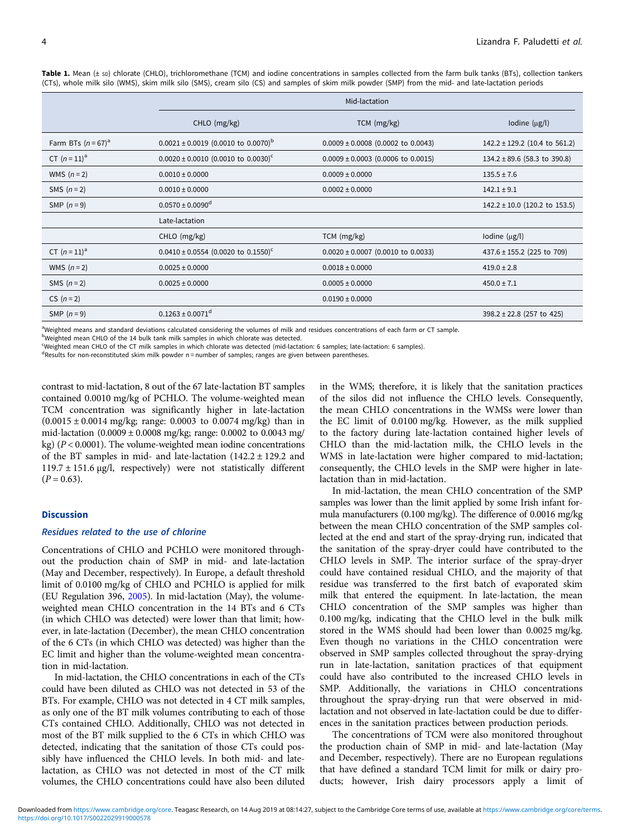|                       | Mid-lactation                                       |                                        |                                   |
|-----------------------|-----------------------------------------------------|----------------------------------------|-----------------------------------|
|                       | CHLO (mg/kg)                                        | $TCM$ (mg/kg)                          | Iodine $(\mu g/l)$                |
| Farm BTs $(n = 67)^a$ | $0.0021 \pm 0.0019$ (0.0010 to 0.0070) <sup>b</sup> | $0.0009 \pm 0.0008$ (0.0002 to 0.0043) | $142.2 \pm 129.2$ (10.4 to 561.2) |
| CT $(n=11)^{a}$       | $0.0020 \pm 0.0010$ (0.0010 to 0.0030) <sup>c</sup> | $0.0009 \pm 0.0003$ (0.0006 to 0.0015) | $134.2 \pm 89.6$ (58.3 to 390.8)  |
| WMS $(n=2)$           | $0.0010 \pm 0.0000$                                 | $0.0009 \pm 0.0000$                    | $135.5 \pm 7.6$                   |
| SMS $(n=2)$           | $0.0010 \pm 0.0000$                                 | $0.0002 \pm 0.0000$                    | $142.1 \pm 9.1$                   |
| SMP $(n=9)$           | $0.0570 \pm 0.0090$ <sup>d</sup>                    |                                        | $142.2 \pm 10.0$ (120.2 to 153.5) |
|                       | Late-lactation                                      |                                        |                                   |
|                       | CHLO (mg/kg)                                        | TCM (mg/kg)                            | Iodine $(\mu g/l)$                |
| CT $(n = 11)^a$       | $0.0410 \pm 0.0554$ (0.0020 to 0.1550) <sup>c</sup> | $0.0020 \pm 0.0007$ (0.0010 to 0.0033) | 437.6 ± 155.2 (225 to 709)        |
| WMS $(n=2)$           | $0.0025 \pm 0.0000$                                 | $0.0018 \pm 0.0000$                    | $419.0 \pm 2.8$                   |
| SMS $(n=2)$           | $0.0025 \pm 0.0000$                                 | $0.0005 \pm 0.0000$                    | $450.0 \pm 7.1$                   |
| $CS (n=2)$            |                                                     | $0.0190 \pm 0.0000$                    |                                   |
| SMP $(n=9)$           | $0.1263 \pm 0.0071$ <sup>d</sup>                    |                                        | 398.2 ± 22.8 (257 to 425)         |

<span id="page-3-0"></span>Table 1. Mean (± sp) chlorate (CHLO), trichloromethane (TCM) and iodine concentrations in samples collected from the farm bulk tanks (BTs), collection tankers (CTs), whole milk silo (WMS), skim milk silo (SMS), cream silo (CS) and samples of skim milk powder (SMP) from the mid- and late-lactation periods

<sup>a</sup>Weighted means and standard deviations calculated considering the volumes of milk and residues concentrations of each farm or CT sample.

<sup>b</sup>Weighted mean CHLO of the 14 bulk tank milk samples in which chlorate was detected.

c Weighted mean CHLO of the CT milk samples in which chlorate was detected (mid-lactation: 6 samples; late-lactation: 6 samples).

<sup>d</sup>Results for non-reconstituted skim milk powder n = number of samples; ranges are given between parentheses.

contrast to mid-lactation, 8 out of the 67 late-lactation BT samples contained 0.0010 mg/kg of PCHLO. The volume-weighted mean TCM concentration was significantly higher in late-lactation  $(0.0015 \pm 0.0014 \text{ mg/kg}$ ; range: 0.0003 to 0.0074 mg/kg) than in mid-lactation (0.0009 ± 0.0008 mg/kg; range: 0.0002 to 0.0043 mg/ kg) ( $P < 0.0001$ ). The volume-weighted mean iodine concentrations of the BT samples in mid- and late-lactation (142.2 ± 129.2 and 119.7 ± 151.6 µg/l, respectively) were not statistically different  $(P = 0.63)$ .

## **Discussion**

### Residues related to the use of chlorine

Concentrations of CHLO and PCHLO were monitored throughout the production chain of SMP in mid- and late-lactation (May and December, respectively). In Europe, a default threshold limit of 0.0100 mg/kg of CHLO and PCHLO is applied for milk (EU Regulation 396, [2005\)](#page-5-0). In mid-lactation (May), the volumeweighted mean CHLO concentration in the 14 BTs and 6 CTs (in which CHLO was detected) were lower than that limit; however, in late-lactation (December), the mean CHLO concentration of the 6 CTs (in which CHLO was detected) was higher than the EC limit and higher than the volume-weighted mean concentration in mid-lactation.

In mid-lactation, the CHLO concentrations in each of the CTs could have been diluted as CHLO was not detected in 53 of the BTs. For example, CHLO was not detected in 4 CT milk samples, as only one of the BT milk volumes contributing to each of those CTs contained CHLO. Additionally, CHLO was not detected in most of the BT milk supplied to the 6 CTs in which CHLO was detected, indicating that the sanitation of those CTs could possibly have influenced the CHLO levels. In both mid- and latelactation, as CHLO was not detected in most of the CT milk volumes, the CHLO concentrations could have also been diluted in the WMS; therefore, it is likely that the sanitation practices of the silos did not influence the CHLO levels. Consequently, the mean CHLO concentrations in the WMSs were lower than the EC limit of 0.0100 mg/kg. However, as the milk supplied to the factory during late-lactation contained higher levels of CHLO than the mid-lactation milk, the CHLO levels in the WMS in late-lactation were higher compared to mid-lactation; consequently, the CHLO levels in the SMP were higher in latelactation than in mid-lactation.

In mid-lactation, the mean CHLO concentration of the SMP samples was lower than the limit applied by some Irish infant formula manufacturers (0.100 mg/kg). The difference of 0.0016 mg/kg between the mean CHLO concentration of the SMP samples collected at the end and start of the spray-drying run, indicated that the sanitation of the spray-dryer could have contributed to the CHLO levels in SMP. The interior surface of the spray-dryer could have contained residual CHLO, and the majority of that residue was transferred to the first batch of evaporated skim milk that entered the equipment. In late-lactation, the mean CHLO concentration of the SMP samples was higher than 0.100 mg/kg, indicating that the CHLO level in the bulk milk stored in the WMS should had been lower than 0.0025 mg/kg. Even though no variations in the CHLO concentration were observed in SMP samples collected throughout the spray-drying run in late-lactation, sanitation practices of that equipment could have also contributed to the increased CHLO levels in SMP. Additionally, the variations in CHLO concentrations throughout the spray-drying run that were observed in midlactation and not observed in late-lactation could be due to differences in the sanitation practices between production periods.

The concentrations of TCM were also monitored throughout the production chain of SMP in mid- and late-lactation (May and December, respectively). There are no European regulations that have defined a standard TCM limit for milk or dairy products; however, Irish dairy processors apply a limit of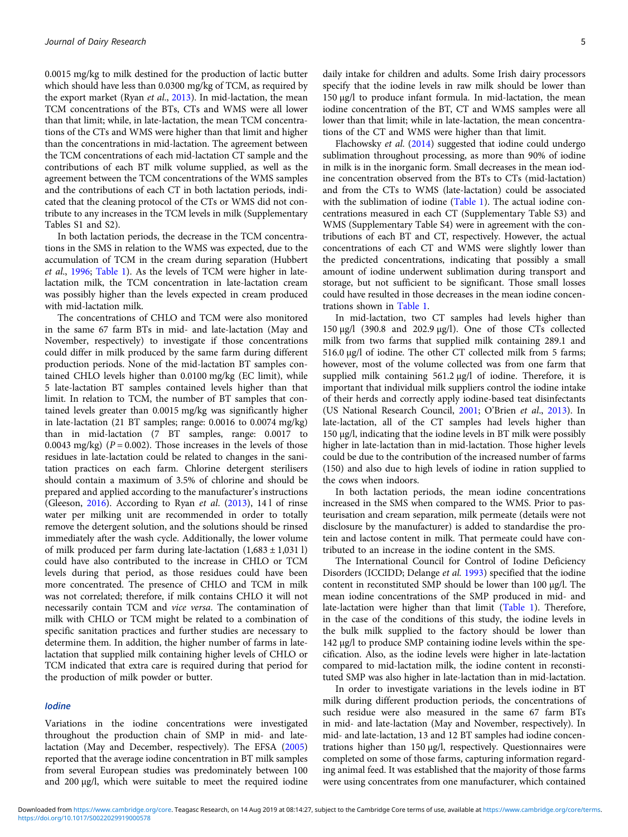0.0015 mg/kg to milk destined for the production of lactic butter which should have less than 0.0300 mg/kg of TCM, as required by the export market (Ryan et al., [2013](#page-5-0)). In mid-lactation, the mean TCM concentrations of the BTs, CTs and WMS were all lower than that limit; while, in late-lactation, the mean TCM concentrations of the CTs and WMS were higher than that limit and higher than the concentrations in mid-lactation. The agreement between the TCM concentrations of each mid-lactation CT sample and the contributions of each BT milk volume supplied, as well as the agreement between the TCM concentrations of the WMS samples and the contributions of each CT in both lactation periods, indicated that the cleaning protocol of the CTs or WMS did not contribute to any increases in the TCM levels in milk (Supplementary Tables S1 and S2).

In both lactation periods, the decrease in the TCM concentrations in the SMS in relation to the WMS was expected, due to the accumulation of TCM in the cream during separation (Hubbert et al., [1996](#page-5-0); [Table 1\)](#page-3-0). As the levels of TCM were higher in latelactation milk, the TCM concentration in late-lactation cream was possibly higher than the levels expected in cream produced with mid-lactation milk.

The concentrations of CHLO and TCM were also monitored in the same 67 farm BTs in mid- and late-lactation (May and November, respectively) to investigate if those concentrations could differ in milk produced by the same farm during different production periods. None of the mid-lactation BT samples contained CHLO levels higher than 0.0100 mg/kg (EC limit), while 5 late-lactation BT samples contained levels higher than that limit. In relation to TCM, the number of BT samples that contained levels greater than 0.0015 mg/kg was significantly higher in late-lactation (21 BT samples; range: 0.0016 to 0.0074 mg/kg) than in mid-lactation (7 BT samples, range: 0.0017 to 0.0043 mg/kg) ( $P = 0.002$ ). Those increases in the levels of those residues in late-lactation could be related to changes in the sanitation practices on each farm. Chlorine detergent sterilisers should contain a maximum of 3.5% of chlorine and should be prepared and applied according to the manufacturer's instructions (Gleeson, [2016\)](#page-5-0). According to Ryan et al. [\(2013](#page-5-0)), 14 l of rinse water per milking unit are recommended in order to totally remove the detergent solution, and the solutions should be rinsed immediately after the wash cycle. Additionally, the lower volume of milk produced per farm during late-lactation  $(1,683 \pm 1,0311)$ could have also contributed to the increase in CHLO or TCM levels during that period, as those residues could have been more concentrated. The presence of CHLO and TCM in milk was not correlated; therefore, if milk contains CHLO it will not necessarily contain TCM and vice versa. The contamination of milk with CHLO or TCM might be related to a combination of specific sanitation practices and further studies are necessary to determine them. In addition, the higher number of farms in latelactation that supplied milk containing higher levels of CHLO or TCM indicated that extra care is required during that period for the production of milk powder or butter.

#### Iodine

Variations in the iodine concentrations were investigated throughout the production chain of SMP in mid- and latelactation (May and December, respectively). The EFSA [\(2005\)](#page-5-0) reported that the average iodine concentration in BT milk samples from several European studies was predominately between 100 and 200 µg/l, which were suitable to meet the required iodine daily intake for children and adults. Some Irish dairy processors specify that the iodine levels in raw milk should be lower than 150 µg/l to produce infant formula. In mid-lactation, the mean iodine concentration of the BT, CT and WMS samples were all lower than that limit; while in late-lactation, the mean concentrations of the CT and WMS were higher than that limit.

Flachowsky et al. [\(2014\)](#page-5-0) suggested that iodine could undergo sublimation throughout processing, as more than 90% of iodine in milk is in the inorganic form. Small decreases in the mean iodine concentration observed from the BTs to CTs (mid-lactation) and from the CTs to WMS (late-lactation) could be associated with the sublimation of iodine ([Table 1](#page-3-0)). The actual iodine concentrations measured in each CT (Supplementary Table S3) and WMS (Supplementary Table S4) were in agreement with the contributions of each BT and CT, respectively. However, the actual concentrations of each CT and WMS were slightly lower than the predicted concentrations, indicating that possibly a small amount of iodine underwent sublimation during transport and storage, but not sufficient to be significant. Those small losses could have resulted in those decreases in the mean iodine concentrations shown in [Table 1](#page-3-0).

In mid-lactation, two CT samples had levels higher than 150 µg/l (390.8 and 202.9 µg/l). One of those CTs collected milk from two farms that supplied milk containing 289.1 and 516.0 µg/l of iodine. The other CT collected milk from 5 farms; however, most of the volume collected was from one farm that supplied milk containing 561.2 µg/l of iodine. Therefore, it is important that individual milk suppliers control the iodine intake of their herds and correctly apply iodine-based teat disinfectants (US National Research Council, [2001;](#page-5-0) O'Brien et al., [2013\)](#page-5-0). In late-lactation, all of the CT samples had levels higher than 150 µg/l, indicating that the iodine levels in BT milk were possibly higher in late-lactation than in mid-lactation. Those higher levels could be due to the contribution of the increased number of farms (150) and also due to high levels of iodine in ration supplied to the cows when indoors.

In both lactation periods, the mean iodine concentrations increased in the SMS when compared to the WMS. Prior to pasteurisation and cream separation, milk permeate (details were not disclosure by the manufacturer) is added to standardise the protein and lactose content in milk. That permeate could have contributed to an increase in the iodine content in the SMS.

The International Council for Control of Iodine Deficiency Disorders (ICCIDD; Delange et al. [1993\)](#page-5-0) specified that the iodine content in reconstituted SMP should be lower than 100 µg/l. The mean iodine concentrations of the SMP produced in mid- and late-lactation were higher than that limit ([Table 1\)](#page-3-0). Therefore, in the case of the conditions of this study, the iodine levels in the bulk milk supplied to the factory should be lower than 142 µg/l to produce SMP containing iodine levels within the specification. Also, as the iodine levels were higher in late-lactation compared to mid-lactation milk, the iodine content in reconstituted SMP was also higher in late-lactation than in mid-lactation.

In order to investigate variations in the levels iodine in BT milk during different production periods, the concentrations of such residue were also measured in the same 67 farm BTs in mid- and late-lactation (May and November, respectively). In mid- and late-lactation, 13 and 12 BT samples had iodine concentrations higher than 150 µg/l, respectively. Questionnaires were completed on some of those farms, capturing information regarding animal feed. It was established that the majority of those farms were using concentrates from one manufacturer, which contained